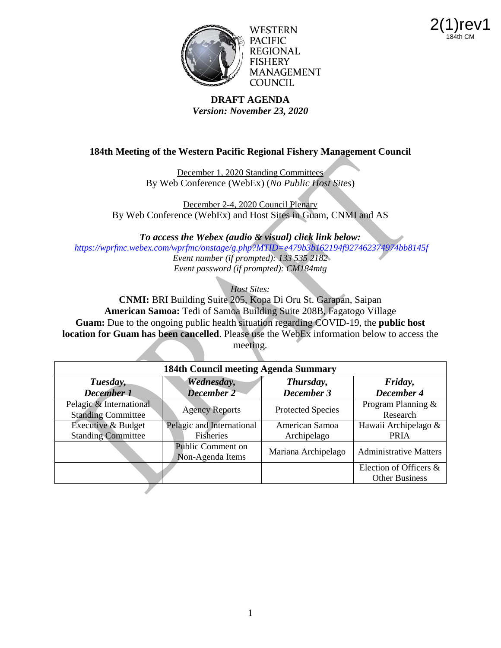



WESTERN PACIFIC **REGIONAL FISHERY MANAGEMENT COUNCIL** 

### **DRAFT AGENDA** *Version: November 23, 2020*

# **184th Meeting of the Western Pacific Regional Fishery Management Council**

December 1, 2020 Standing Committees By Web Conference (WebEx) (*No Public Host Sites*)

December 2-4, 2020 Council Plenary By Web Conference (WebEx) and Host Sites in Guam, CNMI and AS

*To access the Webex (audio & visual) click link below:*

*<https://wprfmc.webex.com/wprfmc/onstage/g.php?MTID=e479b3b162194f927462374974bb8145f>*

*Event number (if prompted): 133 535 2182 Event password (if prompted): CM184mtg*

*Host Sites:* 

**CNMI:** BRI Building Suite 205, Kopa Di Oru St. Garapan, Saipan **American Samoa:** Tedi of Samoa Building Suite 208B, Fagatogo Village **Guam:** Due to the ongoing public health situation regarding COVID-19, the **public host location for Guam has been cancelled**. Please use the WebEx information below to access the meeting.

| 184th Council meeting Agenda Summary                 |                                       |                          |                                                 |
|------------------------------------------------------|---------------------------------------|--------------------------|-------------------------------------------------|
| Tuesday,<br>December 1                               | Wednesday,<br><b>December 2</b>       | Thursday,<br>December 3  | Friday,<br>December 4                           |
| Pelagic & International<br><b>Standing Committee</b> | <b>Agency Reports</b>                 | <b>Protected Species</b> | Program Planning &<br>Research                  |
| <b>Executive &amp; Budget</b>                        | Pelagic and International             | American Samoa           | Hawaii Archipelago &                            |
| <b>Standing Committee</b>                            | <b>Fisheries</b>                      | Archipelago              | <b>PRIA</b>                                     |
|                                                      | Public Comment on<br>Non-Agenda Items | Mariana Archipelago      | <b>Administrative Matters</b>                   |
|                                                      |                                       |                          | Election of Officers &<br><b>Other Business</b> |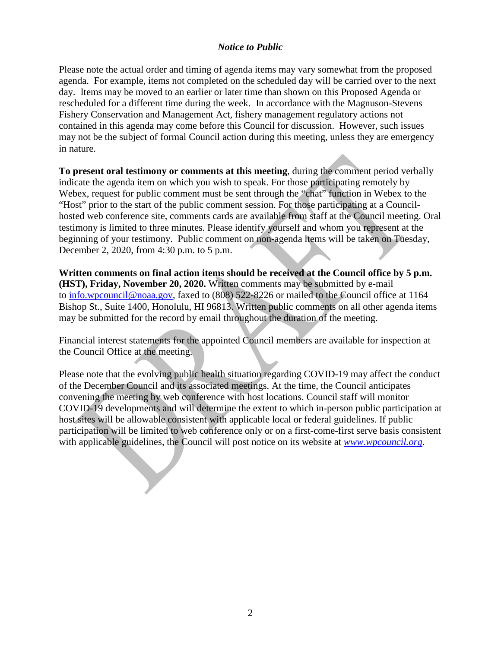### *Notice to Public*

Please note the actual order and timing of agenda items may vary somewhat from the proposed agenda. For example, items not completed on the scheduled day will be carried over to the next day. Items may be moved to an earlier or later time than shown on this Proposed Agenda or rescheduled for a different time during the week. In accordance with the Magnuson-Stevens Fishery Conservation and Management Act, fishery management regulatory actions not contained in this agenda may come before this Council for discussion. However, such issues may not be the subject of formal Council action during this meeting, unless they are emergency in nature.

**To present oral testimony or comments at this meeting**, during the comment period verbally indicate the agenda item on which you wish to speak. For those participating remotely by Webex, request for public comment must be sent through the "chat" function in Webex to the "Host" prior to the start of the public comment session. For those participating at a Councilhosted web conference site, comments cards are available from staff at the Council meeting. Oral testimony is limited to three minutes. Please identify yourself and whom you represent at the beginning of your testimony. Public comment on non-agenda items will be taken on Tuesday, December 2, 2020, from 4:30 p.m. to 5 p.m.

**Written comments on final action items should be received at the Council office by 5 p.m. (HST), Friday, November 20, 2020.** Written comments may be submitted by e-mail to [info.wpcouncil@noaa.gov,](mailto:info.wpcouncil@noaa.gov) faxed to (808) 522-8226 or mailed to the Council office at 1164 Bishop St., Suite 1400, Honolulu, HI 96813. Written public comments on all other agenda items may be submitted for the record by email throughout the duration of the meeting.

Financial interest statements for the appointed Council members are available for inspection at the Council Office at the meeting.

Please note that the evolving public health situation regarding COVID-19 may affect the conduct of the December Council and its associated meetings. At the time, the Council anticipates convening the meeting by web conference with host locations. Council staff will monitor COVID-19 developments and will determine the extent to which in-person public participation at host sites will be allowable consistent with applicable local or federal guidelines. If public participation will be limited to web conference only or on a first-come-first serve basis consistent with applicable guidelines, the Council will post notice on its website at *[www.wpcouncil.org](http://www.wpcouncil.org/)*.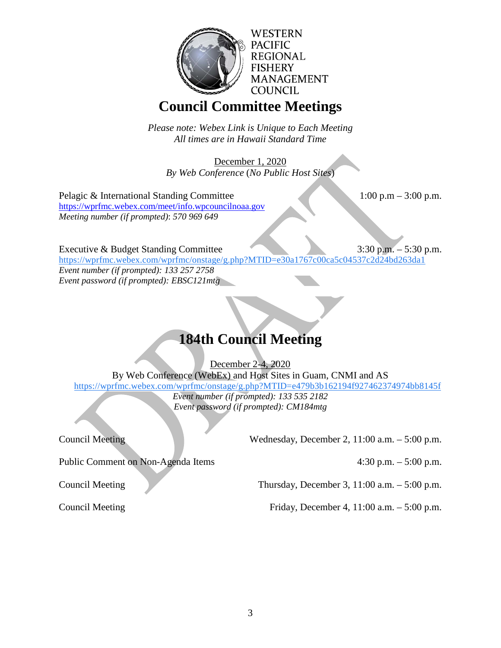

# **Council Committee Meetings**

*Please note: Webex Link is Unique to Each Meeting All times are in Hawaii Standard Time*

December 1, 2020 *By Web Conference* (*No Public Host Sites*)

Pelagic & International Standing Committee 1:00 p.m – 3:00 p.m. <https://wprfmc.webex.com/meet/info.wpcouncilnoaa.gov> *Meeting number (if prompted)*: *570 969 649*

Executive & Budget Standing Committee 3:30 p.m. – 5:30 p.m.

[https://wprfmc.webex.com/wprfmc/onstage/g.php?MTID=e30a1767c00ca5c04537c2d24bd263da1](https://www.google.com/url?q=https://wprfmc.webex.com/wprfmc/onstage/g.php?MTID%3De30a1767c00ca5c04537c2d24bd263da1&sa=D&source=calendar&ust=1603307307898000&usg=AOvVaw260pLFuGENNjKA3eUIKJ5-) *Event number (if prompted): 133 257 2758 Event password (if prompted): EBSC121mtg*

# **184th Council Meeting**

December 2-4, 2020

By Web Conference (WebEx) and Host Sites in Guam, CNMI and AS [https://wprfmc.webex.com/wprfmc/onstage/g.php?MTID=e479b3b162194f927462374974bb8145f](https://www.google.com/url?q=https://wprfmc.webex.com/wprfmc/onstage/g.php?MTID%3De479b3b162194f927462374974bb8145f&sa=D&source=calendar&ust=1603307210874000&usg=AOvVaw3uOn7BiczlQ3x_-JP2Qtrw) *Event number (if prompted): 133 535 2182 Event password (if prompted): CM184mtg*

Council Meeting Wednesday, December 2, 11:00 a.m. – 5:00 p.m.

Public Comment on Non-Agenda Items 4:30 p.m. – 5:00 p.m.

Council Meeting Thursday, December 3, 11:00 a.m. – 5:00 p.m.

Council Meeting Friday, December 4, 11:00 a.m. – 5:00 p.m.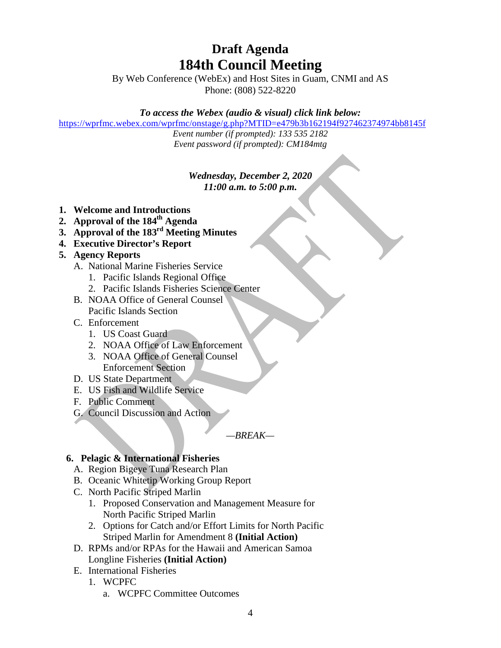# **Draft Agenda 184th Council Meeting**

By Web Conference (WebEx) and Host Sites in Guam, CNMI and AS Phone: (808) 522-8220

# *To access the Webex (audio & visual) click link below:*

[https://wprfmc.webex.com/wprfmc/onstage/g.php?MTID=e479b3b162194f927462374974bb8145f](https://www.google.com/url?q=https://wprfmc.webex.com/wprfmc/onstage/g.php?MTID%3De479b3b162194f927462374974bb8145f&sa=D&source=calendar&ust=1603307210874000&usg=AOvVaw3uOn7BiczlQ3x_-JP2Qtrw)

*Event number (if prompted): 133 535 2182 Event password (if prompted): CM184mtg*

# *Wednesday, December 2, 2020 11:00 a.m. to 5:00 p.m.*

- **1. Welcome and Introductions**
- **2. Approval of the 184th Agenda**
- **3. Approval of the 183rd Meeting Minutes**
- **4. Executive Director's Report**

# **5. Agency Reports**

- A. National Marine Fisheries Service
	- 1. Pacific Islands Regional Office
	- 2. Pacific Islands Fisheries Science Center
- B. NOAA Office of General Counsel Pacific Islands Section
- C. Enforcement
	- 1. US Coast Guard
	- 2. NOAA Office of Law Enforcement
	- 3. NOAA Office of General Counsel Enforcement Section
- D. US State Department
- E. US Fish and Wildlife Service
- F. Public Comment
- G. Council Discussion and Action

# *—BREAK—*

# **6. Pelagic & International Fisheries**

- A. Region Bigeye Tuna Research Plan
- B. Oceanic Whitetip Working Group Report
- C. North Pacific Striped Marlin
	- 1. Proposed Conservation and Management Measure for North Pacific Striped Marlin
	- 2. Options for Catch and/or Effort Limits for North Pacific Striped Marlin for Amendment 8 **(Initial Action)**
- D. RPMs and/or RPAs for the Hawaii and American Samoa Longline Fisheries **(Initial Action)**
- E. International Fisheries
	- 1. WCPFC
		- a. WCPFC Committee Outcomes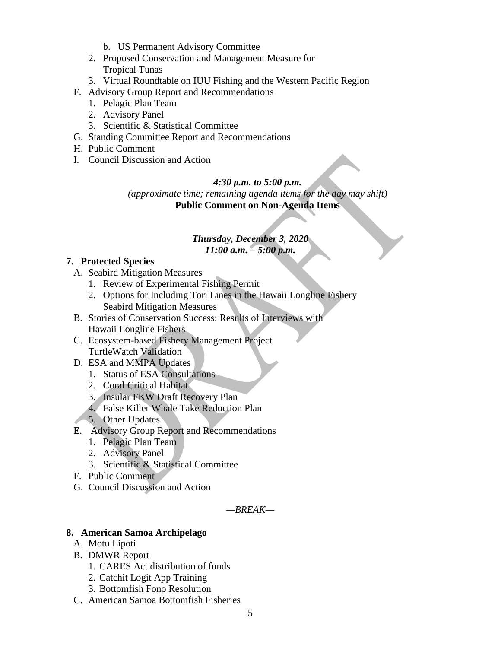- b. US Permanent Advisory Committee
- 2. Proposed Conservation and Management Measure for Tropical Tunas
- 3. Virtual Roundtable on IUU Fishing and the Western Pacific Region
- F. Advisory Group Report and Recommendations
	- 1. Pelagic Plan Team
	- 2. Advisory Panel
	- 3. Scientific & Statistical Committee
- G. Standing Committee Report and Recommendations
- H. Public Comment
- I. Council Discussion and Action

#### *4:30 p.m. to 5:00 p.m.*

*(approximate time; remaining agenda items for the day may shift)* **Public Comment on Non-Agenda Items**

#### *Thursday, December 3, 2020 11:00 a.m. – 5:00 p.m.*

#### **7. Protected Species**

- A. Seabird Mitigation Measures
	- 1. Review of Experimental Fishing Permit
	- 2. Options for Including Tori Lines in the Hawaii Longline Fishery Seabird Mitigation Measures
- B. Stories of Conservation Success: Results of Interviews with Hawaii Longline Fishers
- C. Ecosystem-based Fishery Management Project TurtleWatch Validation
- D. ESA and MMPA Updates
	- 1. Status of ESA Consultations
	- 2. Coral Critical Habitat
	- 3. Insular FKW Draft Recovery Plan
	- 4. False Killer Whale Take Reduction Plan
- 5. Other Updates
- E. Advisory Group Report and Recommendations
	- 1. Pelagic Plan Team
	- 2. Advisory Panel
	- 3. Scientific & Statistical Committee
- F. Public Comment
- G. Council Discussion and Action

*—BREAK—*

# **8. American Samoa Archipelago**

- A. Motu Lipoti
- B. DMWR Report
	- 1. CARES Act distribution of funds
	- 2. Catchit Logit App Training
	- 3. Bottomfish Fono Resolution
- C. American Samoa Bottomfish Fisheries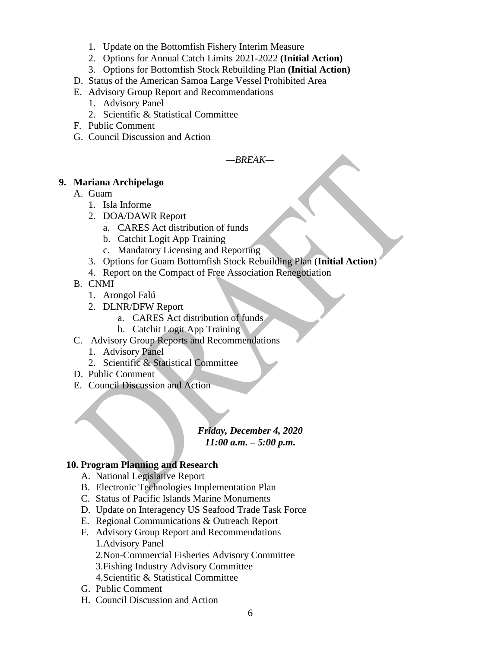- 1. Update on the Bottomfish Fishery Interim Measure
- 2. Options for Annual Catch Limits 2021-2022 **(Initial Action)**
- 3. Options for Bottomfish Stock Rebuilding Plan **(Initial Action)**
- D. Status of the American Samoa Large Vessel Prohibited Area
- E. Advisory Group Report and Recommendations
	- 1. Advisory Panel
	- 2. Scientific & Statistical Committee
- F. Public Comment
- G. Council Discussion and Action

*—BREAK—*

### **9. Mariana Archipelago**

- A. Guam
	- 1. Isla Informe
	- 2. DOA/DAWR Report
		- a. CARES Act distribution of funds
		- b. Catchit Logit App Training
		- c. Mandatory Licensing and Reporting
	- 3. Options for Guam Bottomfish Stock Rebuilding Plan (**Initial Action**)
	- 4. Report on the Compact of Free Association Renegotiation
- B. CNMI
	- 1. Arongol Falú
	- 2. DLNR/DFW Report
		- a. CARES Act distribution of funds
		- b. Catchit Logit App Training
- C. Advisory Group Reports and Recommendations
	- 1. Advisory Panel
	- 2. Scientific & Statistical Committee
- D. Public Comment
- E. Council Discussion and Action

#### *Friday, December 4, 2020 11:00 a.m. – 5:00 p.m.*

# **10. Program Planning and Research**

- A. National Legislative Report
- B. Electronic Technologies Implementation Plan
- C. Status of Pacific Islands Marine Monuments
- D. Update on Interagency US Seafood Trade Task Force
- E. Regional Communications & Outreach Report
- F. Advisory Group Report and Recommendations 1.Advisory Panel

2.Non-Commercial Fisheries Advisory Committee

- 3.Fishing Industry Advisory Committee
- 4.Scientific & Statistical Committee
- G. Public Comment
- H. Council Discussion and Action